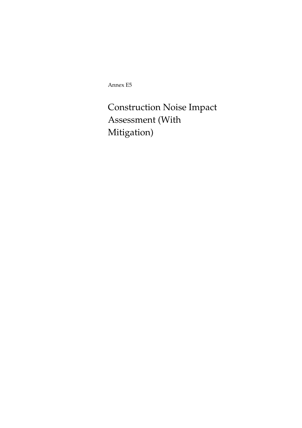Annex E5

Construction Noise Impact Assessment (With Mitigation)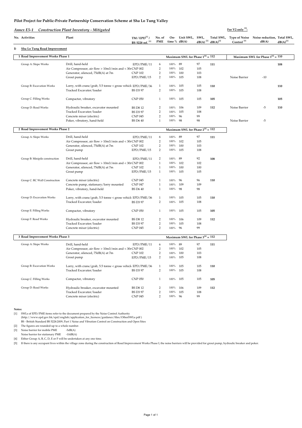| Annex E5-1                       | <b>Construction Plant Inventory - Mitigated</b>             |                                                        |                              |              |                                       |           |                             | For V2 only [5]:       |                                                               |               |
|----------------------------------|-------------------------------------------------------------|--------------------------------------------------------|------------------------------|--------------|---------------------------------------|-----------|-----------------------------|------------------------|---------------------------------------------------------------|---------------|
| No. Activities                   | Plant                                                       | $\text{TM}$ / $\text{EPD}^{[1]}$ /<br>BS 5228 ref. [1] | No. of<br>PME                | time % dB(A) | On- Unit SWL, SWL,                    |           | $dB(A)^{[2]}$ $dB(A)^{[2]}$ | Control <sup>[3]</sup> | Total SWL, Type of Noise Noise reduction, Total SWL,<br>dB(A) | $dB(A)^{[2]}$ |
| Sha Lo Tung Road Improvement     |                                                             |                                                        |                              |              |                                       |           |                             |                        |                                                               |               |
| 1 Road Improvement Works Phase 1 |                                                             |                                                        |                              |              | Maximum SWL for Phase $1^{[4]} = 112$ |           |                             |                        | Maximum SWL for Phase $1^{[4]} = 110$                         |               |
| Group A: Slope Works             | Drill, hand-held                                            | EPD/PME/11                                             | 6                            | 100% 89      |                                       | 97        | 111                         |                        |                                                               | 108           |
|                                  | Air Compressor, air flow > 10m3/min and < 30r CNP 002       |                                                        | $\overline{2}$               | 100% 102     |                                       | 105       |                             |                        |                                                               |               |
|                                  | Generator, silenced, 75dB(A) at 7m                          | <b>CNP 102</b>                                         | $\overline{2}$               | 100%         | 100                                   | 103       |                             |                        |                                                               |               |
|                                  | Grout pump                                                  | EPD/PME/15                                             | $\overline{2}$               | 100%         | 105                                   | 108       |                             | Noise Barrier          | $-10$                                                         |               |
| Group B: Excavation Works        | Lorry, with crane/grab, 5.5 tonne < gross vehicl EPD/PME/36 |                                                        | $\,1$                        | 100%         | 105                                   | 105       | 110                         |                        |                                                               | 110           |
|                                  | Tracked Excavator/loader                                    | <b>BS D3 97</b>                                        | $\overline{2}$               | 100% 105     |                                       | 108       |                             |                        |                                                               |               |
| Group C: Filling Works           | Compactor, vibratory                                        | <b>CNP 050</b>                                         | $\mathbf{1}$                 | 100%         | 105                                   | 105       | 105                         |                        |                                                               | 105           |
| Group D: Road Works              | Hydraulic breaker, excavator mounted                        | <b>BS D8 12</b>                                        | $\overline{2}$               | 100%         | 106                                   | 109       | 112                         | Noise Barrier          | -5                                                            | 110           |
|                                  | Tracked Excavator/loader                                    | <b>BS D3 97</b>                                        | $\sqrt{2}$                   | 100%         | 105                                   | 108       |                             |                        |                                                               |               |
|                                  | Concrete mixer (electric)                                   | <b>CNP 045</b>                                         | $\overline{2}$               | 100%         | 96                                    | 99        |                             |                        |                                                               |               |
|                                  | Poker, vibratory, hand-held                                 | <b>BS</b> D6 40                                        | $\mathbf{1}$                 | 100%         | 98                                    | 98        |                             | Noise Barrier          | -5                                                            |               |
| 2 Road Improvement Works Phase 2 |                                                             |                                                        |                              |              | Maximum SWL for Phase $2^{[4]} = 112$ |           |                             |                        |                                                               |               |
| Group A: Slope Works             | Drill, hand-held                                            | EPD/PME/11                                             | 6                            | 100%         | 89                                    | 97        | 111                         |                        |                                                               |               |
|                                  | Air Compressor, air flow > 10m3/min and < 30r CNP 002       |                                                        | $\overline{2}$               | 100%         | 102                                   | 105       |                             |                        |                                                               |               |
|                                  | Generator, silenced, 75dB(A) at 7m                          | <b>CNP 102</b>                                         | $\overline{c}$               | 100%         | 100                                   | 103       |                             |                        |                                                               |               |
|                                  | Grout pump                                                  | EPD/PME/15                                             | $\overline{2}$               | 100%         | 105                                   | 108       |                             |                        |                                                               |               |
| Group B: Minipile construction   | Drill, hand-held                                            | EPD/PME/11                                             | $\overline{2}$               | 100%         | 89                                    | 92        | 108                         |                        |                                                               |               |
|                                  | Air Compressor, air flow > 10m3/min and < 30r CNP 002       |                                                        | $\mathbf{1}$                 | 100%         | 102                                   | 102       |                             |                        |                                                               |               |
|                                  | Generator, silenced, 75dB(A) at 7m                          | <b>CNP 102</b>                                         | $\mathbf{1}$                 | 100%         | 100                                   | 100       |                             |                        |                                                               |               |
|                                  | Grout pump                                                  | EPD/PME/15                                             | $\mathbf{1}$                 | 100%         | 105                                   | 105       |                             |                        |                                                               |               |
| Group C: RC Wall Construction    | Concrete mixer (electric)                                   | <b>CNP 045</b>                                         | $\mathbf{1}$                 | 100%         | 96                                    | 96        | 110                         |                        |                                                               |               |
|                                  | Concrete pump, stationary/lorry mounted                     | <b>CNP 047</b>                                         | $\mathbf{1}$                 | 100%         | 109                                   | 109       |                             |                        |                                                               |               |
|                                  | Poker, vibratory, hand-held                                 | <b>BS</b> D6 40                                        | $\mathbf{1}$                 | 100%         | 98                                    | 98        |                             |                        |                                                               |               |
| Group D: Excavation Works        | Lorry, with crane/grab, 5.5 tonne < gross vehicl EPD/PME/36 |                                                        | $\mathbf{1}$                 | 100%         | 105                                   | 105       | 110                         |                        |                                                               |               |
|                                  | Tracked Excavator/loader                                    | <b>BS D3 97</b>                                        | $\overline{2}$               | 100%         | 105                                   | 108       |                             |                        |                                                               |               |
| Group E: Filling Works           | Compactor, vibratory                                        | <b>CNP 050</b>                                         | $\mathbf{1}$                 | 100%         | 105                                   | 105       | 105                         |                        |                                                               |               |
|                                  |                                                             |                                                        |                              |              |                                       |           |                             |                        |                                                               |               |
| Group F: Road Works              | Hydraulic breaker, excavator mounted                        | <b>BS D8 12</b>                                        | $\overline{c}$<br>$\sqrt{2}$ | 100%<br>100% | 106                                   | 109       | 112                         |                        |                                                               |               |
|                                  | Tracked Excavator/loader<br>Concrete mixer (electric)       | <b>BS D3 97</b><br><b>CNP 045</b>                      | $\sqrt{2}$                   | $100\%$      | 105<br>96                             | 108<br>99 |                             |                        |                                                               |               |
| 3 Road Improvement Works Phase 3 |                                                             |                                                        |                              |              | Maximum SWL for Phase $3^{[4]} = 112$ |           |                             |                        |                                                               |               |
| Group A: Slope Works             | Drill, hand-held                                            | EPD/PME/11                                             | 6                            | 100%         | 89                                    | 97        | 111                         |                        |                                                               |               |
|                                  | Air Compressor, air flow > 10m3/min and < 30r CNP 002       |                                                        | $\overline{2}$               | 100% 102     |                                       | 105       |                             |                        |                                                               |               |
|                                  | Generator, silenced, 75dB(A) at 7m                          | <b>CNP 102</b>                                         | $\overline{c}$               | 100%         | 100                                   | 103       |                             |                        |                                                               |               |
|                                  | Grout pump                                                  | EPD/PME/15                                             | $\overline{2}$               | 100% 105     |                                       | 108       |                             |                        |                                                               |               |
| Group B: Excavation Works        | Lorry, with crane/grab, 5.5 tonne < gross vehicl EPD/PME/36 |                                                        | $\mathbf{1}$                 | 100%         | 105                                   | 105       | 110                         |                        |                                                               |               |
|                                  | Tracked Excavator/loader                                    | <b>BS D3 97</b>                                        | $\overline{2}$               | 100%         | 105                                   | 108       |                             |                        |                                                               |               |
| Group C: Filling Works           |                                                             | <b>CNP 050</b>                                         | $\mathbf{1}$                 | 100%         | 105                                   | 105       | 105                         |                        |                                                               |               |
|                                  | Compactor, vibratory                                        |                                                        |                              |              |                                       |           |                             |                        |                                                               |               |
| Group D: Road Works              | Hydraulic breaker, excavator mounted                        | <b>BS D8 12</b>                                        | $\sqrt{2}$                   | 100%         | 106                                   | 109       | 112                         |                        |                                                               |               |
|                                  | Tracked Excavator/loader                                    | <b>BS D3 97</b>                                        | $\overline{2}$               | 100%         | 105                                   | 108       |                             |                        |                                                               |               |

**Notes:**

[1] SWLs of EPD/PME items refer to the document prepared by the Noise Control Authority (http://www.epd.gov.hk/epd/english/application\_for\_licences/guidance/files/OtherSWLe.pdf )

BS - British Standard BS 5228:2009, Part 1 Noise and Vibration Control on Construction and Open Sites

Concrete mixer (electric)

[2] The figures are rounded-up to a whole number.<br>
[3] Noise barrier for mobile PME  $-5dB(A)$ 

[3] Noise barrier for mobile PME -5dB(A)

Noise barrier for stationary PME -10dB(A)

[4] Either Group A, B, C, D, E or F will be undertaken at any one time.

[5] If there is any occupant lives within the village zone during the construction of Road Improvement Works Phase I, the noise barriers will be provided for grout pump, hydraulic breaker and poker.

Tracked Excavator/loader BS D3 97 2 100% 105 108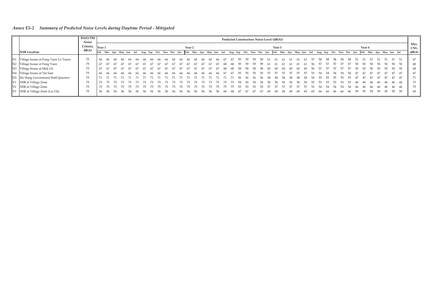*Annex E5-2 Summary of Predicted Noise Levels during Daytime Period - Mitigated*

|    |                                      | <b>EIAO-TM</b><br>Noise |        |     |                 |  |     |     |     |     |             |  |                   |     |     |     |     |     |     |     |     |     | Predicted Construction Noise Level (dB(A)) |        |             |         |     |     |     |     |     |         |        |     |    |    |                 |      |              |
|----|--------------------------------------|-------------------------|--------|-----|-----------------|--|-----|-----|-----|-----|-------------|--|-------------------|-----|-----|-----|-----|-----|-----|-----|-----|-----|--------------------------------------------|--------|-------------|---------|-----|-----|-----|-----|-----|---------|--------|-----|----|----|-----------------|------|--------------|
|    |                                      | Criteria,<br>dB(A)      | Year 1 |     |                 |  |     |     |     |     |             |  | Year <sub>2</sub> |     |     |     |     |     |     |     |     |     |                                            | Year 3 |             |         |     |     |     |     |     |         | Year 4 |     |    |    |                 |      | Max.<br>CNL, |
|    | <b>NSR Location</b>                  |                         | Feb    |     | Mar Apr May Jun |  | lul | Aug | Sep | Oct | Nov Dec Jan |  | Feb               | Mar | Apr | May | Jun | Jul | Aug | Sep | Oct | Nov | Dec Jan                                    |        | Feb Mar Apr | May Jun | Jul | Aug | Sep | Oct | Nov | Dec Jan | Feb    | Mar |    |    | Apr May Jun Jul |      | dB(A)        |
|    | Village house at Fung Yuen Lo Tsuen  | 75                      |        |     |                 |  |     |     |     |     |             |  |                   |     |     |     |     |     |     |     |     |     |                                            |        |             |         |     |     |     |     |     |         |        |     |    |    |                 |      | 67           |
|    | N2 Village house at Fung Yuen        | 75                      | 67     |     |                 |  |     |     |     |     |             |  |                   |     |     |     |     |     |     |     |     |     |                                            |        |             |         |     |     |     |     |     |         |        |     |    |    |                 | 50   | 68           |
|    | N3 Village house at Mak Uk           | 75                      | 67     | -67 | 67              |  | 67  |     |     |     |             |  |                   |     |     |     |     |     |     |     |     |     |                                            |        |             |         |     |     |     |     |     |         |        |     |    |    |                 | -50  | 68           |
|    | N4 Village house at Tin Sam          | 75                      |        |     |                 |  |     |     |     |     |             |  |                   |     |     |     |     |     |     |     |     |     |                                            |        |             |         |     |     |     |     |     |         |        |     |    |    |                 | - 47 | 67           |
|    | N5 Ha Hang Government Staff Quarters | 75                      |        |     |                 |  |     |     |     |     |             |  |                   |     |     |     |     |     |     |     |     |     |                                            |        |             |         |     |     |     |     |     |         |        |     |    |    |                 | 47   | 71           |
| V1 | NSR at Village Zone                  | 75                      |        |     |                 |  |     |     |     |     |             |  |                   |     |     |     |     |     |     |     |     |     |                                            |        |             |         |     |     |     |     |     |         |        |     |    |    |                 | -46  | 73           |
|    | V2 NSR at Village Zone               | 75                      |        |     |                 |  |     |     |     |     |             |  |                   |     |     |     |     |     |     |     |     |     |                                            |        |             |         |     |     |     |     |     |         |        |     |    |    |                 | -46  | 75           |
|    | V3 NSR at Village Zone (Lei Uk)      | 75                      | 56     |     |                 |  |     |     |     |     |             |  |                   |     |     |     |     |     |     |     |     |     |                                            |        |             |         |     |     |     |     |     |         |        |     | 59 | 59 | 59              | 59   | 69           |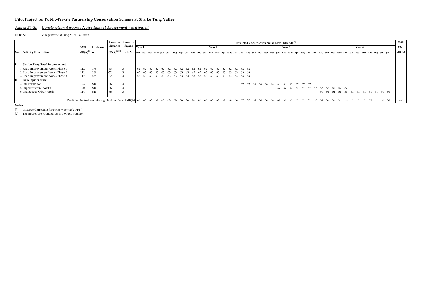#### *Annex E5-3a Construction Airborne Noise Impact Assessment - Mitigated*

NSR: N1 Village house at Fung Yuen Lo Tsuen

|     |                                  |                 |                 | Corr. for Corr. for |                                       |       |     |                   |  |       |      |                   |      |     |      |       |     |       |     |      |     | Predicted Construction Noise Level (dB(A)) <sup>[2]</sup> |     |     |     |                                        |      |          |        |  |                                                                                                                                                                         | Max.       |
|-----|----------------------------------|-----------------|-----------------|---------------------|---------------------------------------|-------|-----|-------------------|--|-------|------|-------------------|------|-----|------|-------|-----|-------|-----|------|-----|-----------------------------------------------------------|-----|-----|-----|----------------------------------------|------|----------|--------|--|-------------------------------------------------------------------------------------------------------------------------------------------------------------------------|------------|
|     |                                  | <b>SWL</b>      | <b>Distance</b> | distance            | $\cdot$ e façade $\sqrt{\frac{1}{2}}$ |       |     |                   |  |       |      | Year <sub>2</sub> |      |     |      |       |     |       |     |      |     | Year 3                                                    |     |     |     |                                        |      |          | Year 4 |  |                                                                                                                                                                         | <b>CNL</b> |
| No. | <b>Activity Description</b>      | $dB(A)^{[2]}$ m |                 | $dB(A)^{[1][2]}$    | dB(A)                                 |       |     |                   |  |       |      |                   |      |     |      |       |     |       |     |      |     |                                                           |     |     |     |                                        |      |          |        |  | Feb Mar Apr May Jun Jul Aug Sep Oct Nov Dec Jan Feb Mar Apr May Jun Jul Aug Sep Oct Nov Dec Jan Feb Mar Apr May Jun Jul Aug Sep Oct Nov Dec Jan Feb Mar Apr May Jun Jul | dB(A)      |
|     |                                  |                 |                 |                     |                                       |       |     |                   |  |       |      |                   |      |     |      |       |     |       |     |      |     |                                                           |     |     |     |                                        |      |          |        |  |                                                                                                                                                                         |            |
|     | Sha Lo Tung Road Improvement     |                 |                 |                     |                                       |       |     |                   |  |       |      |                   |      |     |      |       |     |       |     |      |     |                                                           |     |     |     |                                        |      |          |        |  |                                                                                                                                                                         |            |
|     | 1 Road Improvement Works Phase 1 | 112             | 175             | $-53$               |                                       | 62 62 |     |                   |  |       |      |                   |      |     |      |       |     |       |     |      |     |                                                           |     |     |     |                                        |      |          |        |  |                                                                                                                                                                         |            |
|     | 2 Road Improvement Works Phase 2 | 112             | 160             | $-52$               |                                       | 63 63 | -63 | 63 63 63 63 63 63 |  | 63 63 | - 63 | - 63<br>-63       | - 63 | -63 | - 63 | 63 63 |     |       |     |      |     |                                                           |     |     |     |                                        |      |          |        |  |                                                                                                                                                                         |            |
|     | 3 Road Improvement Works Phase 3 | 112             | 485             | $-62$               |                                       | 53 53 |     |                   |  |       |      |                   |      |     |      |       |     |       |     |      |     |                                                           |     |     |     |                                        |      |          |        |  |                                                                                                                                                                         |            |
|     | <b>Development Site</b>          |                 |                 |                     |                                       |       |     |                   |  |       |      |                   |      |     |      |       |     |       |     |      |     |                                                           |     |     |     |                                        |      |          |        |  |                                                                                                                                                                         |            |
|     | 4 Site Formation                 |                 | 840             | $-66$               |                                       |       |     |                   |  |       |      |                   |      |     |      | 59    | .59 | 59 59 | 59  |      |     | 59 59 59 59 59 59 59                                      |     |     |     |                                        |      |          |        |  |                                                                                                                                                                         |            |
|     | 5 Superstructure Works           |                 | 840             | $-66$               |                                       |       |     |                   |  |       |      |                   |      |     |      |       |     |       |     |      |     |                                                           |     |     |     | 57 57 57 57 57 57 57 57 57 57 57 57 57 |      |          |        |  |                                                                                                                                                                         |            |
|     | 6 Drainage & Other Works         | 114             | 840             | $-66$               |                                       |       |     |                   |  |       |      |                   |      |     |      |       |     |       |     |      |     |                                                           |     |     |     |                                        |      |          |        |  | 51 51 51 51 51 51 51 51 51 51 51 51                                                                                                                                     |            |
|     |                                  |                 |                 |                     |                                       |       |     |                   |  |       |      |                   |      |     |      |       |     |       |     |      |     |                                                           |     |     |     |                                        |      |          |        |  |                                                                                                                                                                         |            |
|     |                                  |                 |                 |                     |                                       |       |     |                   |  |       |      |                   |      |     |      |       |     | -59   | -59 | - 59 | -61 | 61 61                                                     | -61 | -57 | .58 | -58                                    | - 58 | 58 58 51 | - 51   |  | 51 51 51 51 51                                                                                                                                                          | 67         |

**Notes:**

[1] Distance Correction for PMEs =  $10*log(2*PI*r^2)$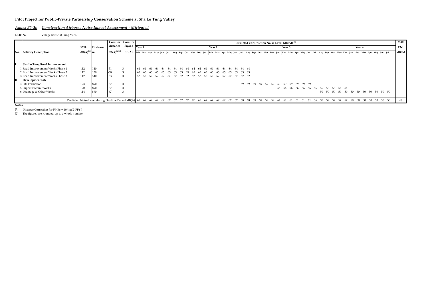#### *Annex E5-3b Construction Airborne Noise Impact Assessment - Mitigated*

NSR: N2 Village house at Fung Yuen

|                                  |                 |                 | Corr. for Corr. for |        |                   |                                                                                                                                                                         |       |  |                |       |                   |          |      |             |       |     |    | Predicted Construction Noise Level (dB(A)) <sup>[2]</sup> |     |     |                   |     |     |             |                                     |            |      |        |          |                                     |       | Max.       |
|----------------------------------|-----------------|-----------------|---------------------|--------|-------------------|-------------------------------------------------------------------------------------------------------------------------------------------------------------------------|-------|--|----------------|-------|-------------------|----------|------|-------------|-------|-----|----|-----------------------------------------------------------|-----|-----|-------------------|-----|-----|-------------|-------------------------------------|------------|------|--------|----------|-------------------------------------|-------|------------|
|                                  | <b>SWL</b>      | <b>Distance</b> | distance            | façade | Year <sub>1</sub> |                                                                                                                                                                         |       |  |                |       | Year <sub>2</sub> |          |      |             |       |     |    |                                                           |     |     | Year <sub>3</sub> |     |     |             |                                     |            |      | Year 4 |          |                                     |       | <b>CNL</b> |
| No. Activity Description         | $dB(A)^{[2]}$ m |                 | $dB(A)^{[1][2]}$    | dB(A)  |                   | Feb Mar Apr May Jun Jul Aug Sep Oct Nov Dec Jan Feb Mar Apr May Jun Jul Aug Sep Oct Nov Dec Jan Feb Mar Apr May Jun Jul Aug Sep Oct Nov Dec Jan Feb Mar Apr May Jun Jul |       |  |                |       |                   |          |      |             |       |     |    |                                                           |     |     |                   |     |     |             |                                     |            |      |        |          |                                     |       | dB(A)      |
|                                  |                 |                 |                     |        |                   |                                                                                                                                                                         |       |  |                |       |                   |          |      |             |       |     |    |                                                           |     |     |                   |     |     |             |                                     |            |      |        |          |                                     |       |            |
| Sha Lo Tung Road Improvement     |                 |                 |                     |        |                   |                                                                                                                                                                         |       |  |                |       |                   |          |      |             |       |     |    |                                                           |     |     |                   |     |     |             |                                     |            |      |        |          |                                     |       |            |
| 1 Road Improvement Works Phase 1 | 112             | 140             | $-51$               |        | -64               |                                                                                                                                                                         | 64 64 |  | 64 64 64 64 64 | 64 64 | 64 64 64          |          | - 64 | - 64        | 64 64 |     |    |                                                           |     |     |                   |     |     |             |                                     |            |      |        |          |                                     |       |            |
| 2 Road Improvement Works Phase 2 | 112             | 130             | $-50$               |        |                   |                                                                                                                                                                         |       |  |                |       |                   |          |      |             |       |     |    |                                                           |     |     |                   |     |     |             |                                     |            |      |        |          |                                     |       |            |
| 3 Road Improvement Works Phase 3 | 112             | 540             | $-63$               |        |                   |                                                                                                                                                                         |       |  |                |       |                   |          |      |             |       |     |    |                                                           |     |     |                   |     |     |             |                                     |            |      |        |          |                                     |       |            |
| <b>Development Site</b>          |                 |                 |                     |        |                   |                                                                                                                                                                         |       |  |                |       |                   |          |      |             |       |     |    |                                                           |     |     |                   |     |     |             |                                     |            |      |        |          |                                     |       |            |
| 4 Site Formation                 | 123             | 890             | $-67$               |        |                   |                                                                                                                                                                         |       |  |                |       |                   |          |      |             | 59    | -59 |    | 59 59 59 59 59 59 59 59 59 59 59                          |     |     |                   |     |     |             |                                     |            |      |        |          |                                     |       |            |
| 5 Superstructure Works           |                 | 890             | $-67$               |        |                   |                                                                                                                                                                         |       |  |                |       |                   |          |      |             |       |     |    |                                                           |     |     |                   |     |     |             | 56 56 56 56 56 56 56 56 56 56 56 56 |            |      |        |          |                                     |       |            |
| 6 Drainage & Other Works         | 114             | 890             | $1 - 67$            |        |                   |                                                                                                                                                                         |       |  |                |       |                   |          |      |             |       |     |    |                                                           |     |     |                   |     |     |             |                                     |            |      |        |          | 50 50 50 50 50 50 50 50 50 50 50 50 |       |            |
|                                  |                 |                 |                     |        |                   |                                                                                                                                                                         |       |  |                |       |                   |          |      |             |       |     |    |                                                           |     |     |                   |     |     |             |                                     |            |      |        |          |                                     |       |            |
|                                  |                 |                 |                     |        |                   |                                                                                                                                                                         |       |  |                |       |                   | 67 67 67 |      | 67 67 68 68 |       |     | 59 | .59<br>.59                                                | .59 | -61 |                   | -61 | -61 | -57<br>-56. |                                     | -57<br>.57 | - 50 | - 50   | 50 50 50 |                                     | 50 50 | 68         |

**Notes:**

[1] Distance Correction for PMEs =  $10*log(2*PI*r^2)$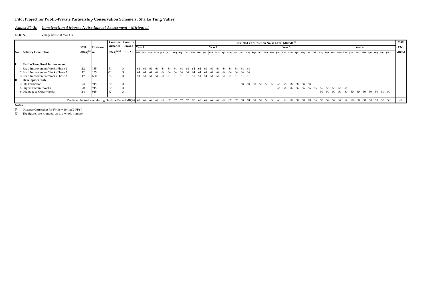#### *Annex E5-3c Construction Airborne Noise Impact Assessment - Mitigated*

NSR: N3 Village house at Mak Uk

|                                  |                 |                                                                                           | Corr. for Corr. for |        |        |                                                                                                                                                                         |       |                      |  |  |                            |                   |          |                   |  |  | Predicted Construction Noise Level (dB(A)) <sup>[2]</sup> |        |                                     |  |  |      |                                     |     |        |       |      |       | Max.       |
|----------------------------------|-----------------|-------------------------------------------------------------------------------------------|---------------------|--------|--------|-------------------------------------------------------------------------------------------------------------------------------------------------------------------------|-------|----------------------|--|--|----------------------------|-------------------|----------|-------------------|--|--|-----------------------------------------------------------|--------|-------------------------------------|--|--|------|-------------------------------------|-----|--------|-------|------|-------|------------|
|                                  | <b>SWL</b>      | <b>Distance</b>                                                                           | distance            | façade | Year 1 |                                                                                                                                                                         |       |                      |  |  |                            | Year <sub>2</sub> |          |                   |  |  |                                                           | Year 3 |                                     |  |  |      |                                     |     | Year 4 |       |      |       | <b>CNL</b> |
| No. Activity Description         | $dB(A)^{[2]}$ m |                                                                                           | $dB(A)^{[1][2]}$    | dB(A)  |        | Feb Mar Apr May Jun Jul Aug Sep Oct Nov Dec Jan Feb Mar Apr May Jun Jul Aug Sep Oct Nov Dec Jan Feb Mar Apr May Jun Jul Aug Sep Oct Nov Dec Jan Feb Mar Apr May Jun Jul |       |                      |  |  |                            |                   |          |                   |  |  |                                                           |        |                                     |  |  |      |                                     |     |        |       |      |       | dB(A)      |
|                                  |                 |                                                                                           |                     |        |        |                                                                                                                                                                         |       |                      |  |  |                            |                   |          |                   |  |  |                                                           |        |                                     |  |  |      |                                     |     |        |       |      |       |            |
| Sha Lo Tung Road Improvement     |                 |                                                                                           |                     |        |        |                                                                                                                                                                         |       |                      |  |  |                            |                   |          |                   |  |  |                                                           |        |                                     |  |  |      |                                     |     |        |       |      |       |            |
| Road Improvement Works Phase 1   | 112             | 135                                                                                       | $-51$               |        | 64 64  |                                                                                                                                                                         |       |                      |  |  |                            |                   |          |                   |  |  |                                                           |        |                                     |  |  |      |                                     |     |        |       |      |       |            |
| 2 Road Improvement Works Phase 2 | 112             | 135                                                                                       | $-51$               |        | 64 64  | - 64                                                                                                                                                                    |       | 64 64 64 64 64 64 64 |  |  | 64 64 64 64 64 64 64 64 64 |                   |          |                   |  |  |                                                           |        |                                     |  |  |      |                                     |     |        |       |      |       |            |
| 3 Road Improvement Works Phase 3 | 112             | 600                                                                                       | $-64$               |        | -51    |                                                                                                                                                                         | 51 51 |                      |  |  |                            |                   |          |                   |  |  |                                                           |        |                                     |  |  |      |                                     |     |        |       |      |       |            |
| <b>Development Site</b>          |                 |                                                                                           |                     |        |        |                                                                                                                                                                         |       |                      |  |  |                            |                   |          |                   |  |  |                                                           |        |                                     |  |  |      |                                     |     |        |       |      |       |            |
| 4 Site Formation                 | 123             | 945                                                                                       | $-67$               |        |        |                                                                                                                                                                         |       |                      |  |  |                            |                   |          |                   |  |  | 58 58 58 58 58 58 58 58 58 58 58 58                       |        |                                     |  |  |      |                                     |     |        |       |      |       |            |
| 5 Superstructure Works           |                 | 945                                                                                       | $-67$               |        |        |                                                                                                                                                                         |       |                      |  |  |                            |                   |          |                   |  |  |                                                           |        | 56 56 56 56 56 56 56 56 56 56 56 56 |  |  |      |                                     |     |        |       |      |       |            |
| 6 Drainage & Other Works         | 114             | 945                                                                                       | $1 - 67$            |        |        |                                                                                                                                                                         |       |                      |  |  |                            |                   |          |                   |  |  |                                                           |        |                                     |  |  |      | 50 50 50 50 50 50 50 50 50 50 50 50 |     |        |       |      |       |            |
|                                  |                 |                                                                                           |                     |        |        |                                                                                                                                                                         |       |                      |  |  |                            |                   |          |                   |  |  |                                                           |        |                                     |  |  |      |                                     |     |        |       |      |       |            |
|                                  |                 | Predicted Noise Level during Daytime Period, dB(A) 67 67 67 67 67 67 67 67 67 67 67 67 67 |                     |        |        |                                                                                                                                                                         |       |                      |  |  |                            |                   | 67 67 67 | 67 67 68 68 58 58 |  |  | 58 58 60                                                  | - 60   | -60                                 |  |  | - 57 | .57                                 | -50 | - 50   | 50 50 | - 50 | 50 50 | 68         |

**Notes:**

[1] Distance Correction for PMEs =  $10*log(2*PI*r^2)$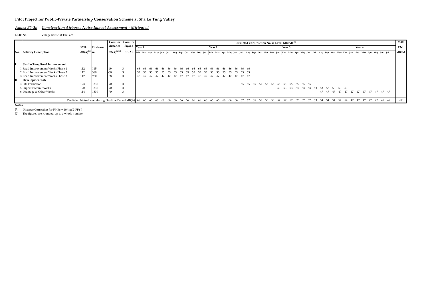#### *Annex E5-3d Construction Airborne Noise Impact Assessment - Mitigated*

NSR: N4 Village house at Tin Sam

|     |                                  |                 |                                                                                        | Corr. for Corr. for |                                                 |                                                                                                                                                                         |  |  |  |  |       |                   |             |       |     |      |             | Predicted Construction Noise Level (dB(A)) <sup>[2]</sup> |     |                   |     |                                        |  |     |      |  |        |  |                                        | Max.       |
|-----|----------------------------------|-----------------|----------------------------------------------------------------------------------------|---------------------|-------------------------------------------------|-------------------------------------------------------------------------------------------------------------------------------------------------------------------------|--|--|--|--|-------|-------------------|-------------|-------|-----|------|-------------|-----------------------------------------------------------|-----|-------------------|-----|----------------------------------------|--|-----|------|--|--------|--|----------------------------------------|------------|
|     |                                  | <b>SWL</b>      | <b>Distance</b>                                                                        | distance            | $\cdot$ façade $\sqrt{\frac{1}{\text{Year 1}}}$ |                                                                                                                                                                         |  |  |  |  |       | Year <sub>2</sub> |             |       |     |      |             |                                                           |     | Year <sub>3</sub> |     |                                        |  |     |      |  | Year 4 |  |                                        | <b>CNL</b> |
| No. | <b>Activity Description</b>      | $dB(A)^{[2]}$ m |                                                                                        | $dB(A)^{[1][2]}$    | dB(A)                                           | Feb Mar Apr May Jun Jul Aug Sep Oct Nov Dec Jan Feb Mar Apr May Jun Jul Aug Sep Oct Nov Dec Jan Feb Mar Apr May Jun Jul Aug Sep Oct Nov Dec Jan Feb Mar Apr May Jun Jul |  |  |  |  |       |                   |             |       |     |      |             |                                                           |     |                   |     |                                        |  |     |      |  |        |  |                                        | dB(A)      |
|     |                                  |                 |                                                                                        |                     |                                                 |                                                                                                                                                                         |  |  |  |  |       |                   |             |       |     |      |             |                                                           |     |                   |     |                                        |  |     |      |  |        |  |                                        |            |
|     | Sha Lo Tung Road Improvement     |                 |                                                                                        |                     |                                                 |                                                                                                                                                                         |  |  |  |  |       |                   |             |       |     |      |             |                                                           |     |                   |     |                                        |  |     |      |  |        |  |                                        |            |
|     | 1 Road Improvement Works Phase 1 | 112             | 115                                                                                    | $-49$               |                                                 |                                                                                                                                                                         |  |  |  |  |       |                   |             |       |     |      |             |                                                           |     |                   |     |                                        |  |     |      |  |        |  |                                        |            |
|     | 2 Road Improvement Works Phase 2 | 112             | 380                                                                                    | $-60$               |                                                 |                                                                                                                                                                         |  |  |  |  |       |                   |             |       |     |      |             |                                                           |     |                   |     |                                        |  |     |      |  |        |  |                                        |            |
|     | 3 Road Improvement Works Phase 3 | 112             | 980                                                                                    | $-68$               |                                                 |                                                                                                                                                                         |  |  |  |  |       |                   |             |       |     |      |             |                                                           |     |                   |     |                                        |  |     |      |  |        |  |                                        |            |
|     | <b>Development Site</b>          |                 |                                                                                        |                     |                                                 |                                                                                                                                                                         |  |  |  |  |       |                   |             |       |     |      |             |                                                           |     |                   |     |                                        |  |     |      |  |        |  |                                        |            |
|     | 4 Site Formation                 | 123             | 1330                                                                                   | $-70$               |                                                 |                                                                                                                                                                         |  |  |  |  |       |                   |             |       |     |      |             | 55 55 55 55 55 55 55 55 55 55 55 55                       |     |                   |     |                                        |  |     |      |  |        |  |                                        |            |
|     | 5 Superstructure Works           |                 | 1330                                                                                   | $-70$               |                                                 |                                                                                                                                                                         |  |  |  |  |       |                   |             |       |     |      |             |                                                           |     |                   |     | 53 53 53 53 53 53 53 53 53 53 53 53 53 |  |     |      |  |        |  |                                        |            |
|     | 6 Drainage & Other Works         |                 | 1330                                                                                   | $-70$               |                                                 |                                                                                                                                                                         |  |  |  |  |       |                   |             |       |     |      |             |                                                           |     |                   |     |                                        |  |     |      |  |        |  | 47 47 47 47 47 47 47 47 47 47 47 47 47 |            |
|     |                                  |                 |                                                                                        |                     |                                                 |                                                                                                                                                                         |  |  |  |  |       |                   |             |       |     |      |             |                                                           |     |                   |     |                                        |  |     |      |  |        |  |                                        |            |
|     |                                  |                 | Predicted Noise Level during Daytime Period, dB(A) 66 66 66 66 66 66 66 66 66 66 66 66 |                     |                                                 |                                                                                                                                                                         |  |  |  |  | 66 66 |                   | - 66<br>-66 | 66 66 | -67 | - 67 | 55.<br>-55. | 55.                                                       | 55. | -57               | -57 |                                        |  | -54 | - 54 |  |        |  | 54 47 47 47 47 47 47 47                |            |

**Notes:**

[1] Distance Correction for PMEs =  $10*log(2*PI*r^2)$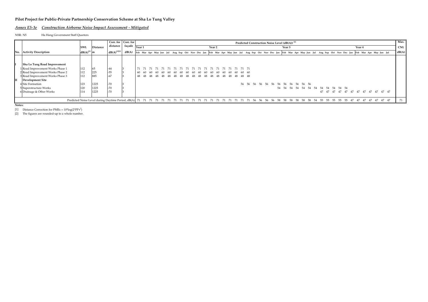#### *Annex E5-3e Construction Airborne Noise Impact Assessment - Mitigated*

NSR: N5 Ha Hang Government Staff Quarters

|     |                                  |                 |                 | Corr. for Corr. for |                                       |       |                                        |  |  |  |                   |  |       |       |  |  | Predicted Construction Noise Level (dB(A)) <sup>[2]</sup> |     |     |     |                                     |           |     |        |  |                                                                                                                                                                         | Max.       |
|-----|----------------------------------|-----------------|-----------------|---------------------|---------------------------------------|-------|----------------------------------------|--|--|--|-------------------|--|-------|-------|--|--|-----------------------------------------------------------|-----|-----|-----|-------------------------------------|-----------|-----|--------|--|-------------------------------------------------------------------------------------------------------------------------------------------------------------------------|------------|
|     |                                  | SWL             | <b>Distance</b> | distance            | $\cdot$ e façade $\sqrt{\frac{1}{2}}$ |       |                                        |  |  |  | Year <sub>2</sub> |  |       |       |  |  | Year <sub>3</sub>                                         |     |     |     |                                     |           |     | Year 4 |  |                                                                                                                                                                         | <b>CNL</b> |
| No. | <b>Activity Description</b>      | $dB(A)^{[2]}$ m |                 | $dB(A)^{[1][2]}$    | dB(A)                                 |       |                                        |  |  |  |                   |  |       |       |  |  |                                                           |     |     |     |                                     |           |     |        |  | Feb Mar Apr May Jun Jul Aug Sep Oct Nov Dec Jan Feb Mar Apr May Jun Jul Aug Sep Oct Nov Dec Jan Feb Mar Apr May Jun Jul Aug Sep Oct Nov Dec Jan Feb Mar Apr May Jun Jul | dB(A)      |
|     |                                  |                 |                 |                     |                                       |       |                                        |  |  |  |                   |  |       |       |  |  |                                                           |     |     |     |                                     |           |     |        |  |                                                                                                                                                                         |            |
|     | Sha Lo Tung Road Improvement     |                 |                 |                     |                                       |       |                                        |  |  |  |                   |  |       |       |  |  |                                                           |     |     |     |                                     |           |     |        |  |                                                                                                                                                                         |            |
|     | 1 Road Improvement Works Phase 1 | 112             | 65              | $-44$               |                                       |       | 71                                     |  |  |  |                   |  |       |       |  |  |                                                           |     |     |     |                                     |           |     |        |  |                                                                                                                                                                         |            |
|     | 2 Road Improvement Works Phase 2 | 112             | 225             | $-55$               |                                       | 60 60 | 60 60 60 60 60 60 60 60 60 60 60 60 60 |  |  |  |                   |  | 60 60 | 60 60 |  |  |                                                           |     |     |     |                                     |           |     |        |  |                                                                                                                                                                         |            |
|     | 3 Road Improvement Works Phase 3 | 112             | 885             | $-67$               |                                       |       |                                        |  |  |  |                   |  |       |       |  |  |                                                           |     |     |     |                                     |           |     |        |  |                                                                                                                                                                         |            |
|     | <b>Development Site</b>          |                 |                 |                     |                                       |       |                                        |  |  |  |                   |  |       |       |  |  |                                                           |     |     |     |                                     |           |     |        |  |                                                                                                                                                                         |            |
|     | 4 Site Formation                 | 123             | 1225            | $-70$               |                                       |       |                                        |  |  |  |                   |  |       |       |  |  | 56 56 56 56 56 56 56 56 56 56 56 56                       |     |     |     |                                     |           |     |        |  |                                                                                                                                                                         |            |
|     | 5 Superstructure Works           | 120             | 1225            | $-70$               |                                       |       |                                        |  |  |  |                   |  |       |       |  |  |                                                           |     |     |     | 54 54 54 54 54 54 54 54 54 54 54 54 |           |     |        |  |                                                                                                                                                                         |            |
|     | 6 Drainage & Other Works         |                 | 1225            | $-70$               |                                       |       |                                        |  |  |  |                   |  |       |       |  |  |                                                           |     |     |     |                                     |           |     |        |  | 47 47 47 47 47 47 47 47 47 47 47 47 47                                                                                                                                  |            |
|     |                                  |                 |                 |                     |                                       |       |                                        |  |  |  |                   |  |       |       |  |  | -58                                                       | -58 | .58 | -55 |                                     | 55<br>-55 | -55 |        |  | 47 47 47 47 47                                                                                                                                                          | 71         |

**Notes:**

[1] Distance Correction for PMEs =  $10*log(2*PI*r^2)$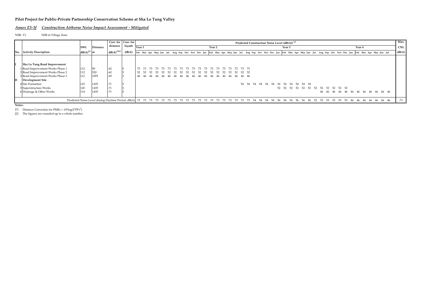#### *Annex E5-3f Construction Airborne Noise Impact Assessment - Mitigated*

NSR: V1 NSR at Village Zone

|              |                                  |                 |                 | Corr. for Corr. for |        |                                                                                                                                                                         |    |  |  |  |  |                   |    |      |    |          |     | Predicted Construction Noise Level (dB(A)) <sup>[2]</sup> |     |     |                   |     |     |                                     |  |     |    |     |        |  |                                     | Max.       |
|--------------|----------------------------------|-----------------|-----------------|---------------------|--------|-------------------------------------------------------------------------------------------------------------------------------------------------------------------------|----|--|--|--|--|-------------------|----|------|----|----------|-----|-----------------------------------------------------------|-----|-----|-------------------|-----|-----|-------------------------------------|--|-----|----|-----|--------|--|-------------------------------------|------------|
|              |                                  | <b>SWL</b>      | <b>Distance</b> | distance            | façade | Year                                                                                                                                                                    |    |  |  |  |  | Year <sub>2</sub> |    |      |    |          |     |                                                           |     |     | Year <sub>3</sub> |     |     |                                     |  |     |    |     | Year 4 |  |                                     | <b>CNL</b> |
| No.          | <b>Activity Description</b>      | $dB(A)^{[2]}$ m |                 | $dB(A)^{[1][2]}$    | dB(A)  | Feb Mar Apr May Jun Jul Aug Sep Oct Nov Dec Jan Feb Mar Apr May Jun Jul Aug Sep Oct Nov Dec Jan Feb Mar Apr May Jun Jul Aug Sep Oct Nov Dec Jan Feb Mar Apr May Jun Jul |    |  |  |  |  |                   |    |      |    |          |     |                                                           |     |     |                   |     |     |                                     |  |     |    |     |        |  |                                     | dB(A)      |
|              |                                  |                 |                 |                     |        |                                                                                                                                                                         |    |  |  |  |  |                   |    |      |    |          |     |                                                           |     |     |                   |     |     |                                     |  |     |    |     |        |  |                                     |            |
|              | Sha Lo Tung Road Improvement     |                 |                 |                     |        |                                                                                                                                                                         |    |  |  |  |  |                   |    |      |    |          |     |                                                           |     |     |                   |     |     |                                     |  |     |    |     |        |  |                                     |            |
|              | 1 Road Improvement Works Phase 1 | 112             |                 | $-42$               |        |                                                                                                                                                                         | 73 |  |  |  |  |                   |    |      |    |          |     |                                                           |     |     |                   |     |     |                                     |  |     |    |     |        |  |                                     |            |
|              | 2 Road Improvement Works Phase 2 | 112             | 520             | $-62$               |        | 52 52                                                                                                                                                                   |    |  |  |  |  |                   |    |      |    |          |     |                                                           |     |     |                   |     |     |                                     |  |     |    |     |        |  |                                     |            |
|              | 3 Road Improvement Works Phase 3 | 112             | 1095            | $-69$               |        |                                                                                                                                                                         |    |  |  |  |  |                   |    |      |    |          |     |                                                           |     |     |                   |     |     |                                     |  |     |    |     |        |  |                                     |            |
| $\mathbf{I}$ | Development Site                 |                 |                 |                     |        |                                                                                                                                                                         |    |  |  |  |  |                   |    |      |    |          |     |                                                           |     |     |                   |     |     |                                     |  |     |    |     |        |  |                                     |            |
|              | 4 Site Formation                 | 123             | 1435            | $-71$               |        |                                                                                                                                                                         |    |  |  |  |  |                   |    |      |    |          |     | 54 54 54 54 54 54 54 54 54 54 54 54                       |     |     |                   |     |     |                                     |  |     |    |     |        |  |                                     |            |
|              | 5 Superstructure Works           | 120             | 1435            | $-71$               |        |                                                                                                                                                                         |    |  |  |  |  |                   |    |      |    |          |     |                                                           |     |     |                   |     |     | 52 52 52 52 52 52 52 52 52 52 52 52 |  |     |    |     |        |  |                                     |            |
|              | 6 Drainage & Other Works         | 114             | 1435            | $-71$               |        |                                                                                                                                                                         |    |  |  |  |  |                   |    |      |    |          |     |                                                           |     |     |                   |     |     |                                     |  |     |    |     |        |  | 46 46 46 46 46 46 46 46 46 46 46 46 |            |
|              |                                  |                 |                 |                     |        |                                                                                                                                                                         |    |  |  |  |  |                   |    |      |    |          |     |                                                           |     |     |                   |     |     |                                     |  |     |    |     |        |  |                                     |            |
|              |                                  |                 |                 |                     |        |                                                                                                                                                                         |    |  |  |  |  |                   | 73 | - 73 | 73 | 73<br>54 | .54 | -54                                                       | -54 | -56 | -56<br>-56        | -56 | -56 |                                     |  | -53 | 53 | -46 | -46    |  | 46 46 46 46 46                      | 73         |

**Notes:**

[1] Distance Correction for PMEs =  $10*log(2*PI*r^2)$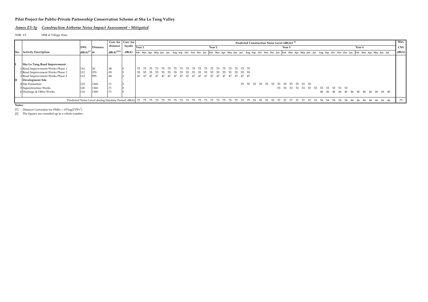#### *Annex E5-3g Construction Airborne Noise Impact Assessment - Mitigated*

NSR: V2 NSR at Village Zone

|                                  |                 |                 | Corr. for Corr. for                  |                                                                                                                                                                               |  |  |  |  |                   |  |             |  | Predicted Construction Noise Level (dB(A)) <sup>[2]</sup> |                   |     |     |            |     |     |                                        |              |  |        |  |                                        | Max.       |  |
|----------------------------------|-----------------|-----------------|--------------------------------------|-------------------------------------------------------------------------------------------------------------------------------------------------------------------------------|--|--|--|--|-------------------|--|-------------|--|-----------------------------------------------------------|-------------------|-----|-----|------------|-----|-----|----------------------------------------|--------------|--|--------|--|----------------------------------------|------------|--|
|                                  | <b>SWL</b>      | <b>Distance</b> | distance façade $\sqrt{\frac{1}{2}}$ |                                                                                                                                                                               |  |  |  |  | Year <sub>2</sub> |  |             |  |                                                           | Year <sub>3</sub> |     |     |            |     |     |                                        |              |  | Year 4 |  |                                        | <b>CNL</b> |  |
| No. Activity Description         | $dB(A)^{[2]}$ m |                 | $dB(A)^{[1][2]}$                     | dB(A) Feb Mar Apr May Jun Jul Aug Sep Oct Nov Dec Jan Feb Mar Apr May Jun Jul Aug Sep Oct Nov Dec Jan Feb Mar Apr May Jun Jul Aug Sep Oct Nov Dec Jan Feb Mar Apr May Jun Jul |  |  |  |  |                   |  |             |  |                                                           |                   |     |     |            |     |     |                                        |              |  |        |  |                                        | dB(A)      |  |
|                                  |                 |                 |                                      |                                                                                                                                                                               |  |  |  |  |                   |  |             |  |                                                           |                   |     |     |            |     |     |                                        |              |  |        |  |                                        |            |  |
| Sha Lo Tung Road Improvement     |                 |                 |                                      |                                                                                                                                                                               |  |  |  |  |                   |  |             |  |                                                           |                   |     |     |            |     |     |                                        |              |  |        |  |                                        |            |  |
| Road Improvement Works Phase 1   | 110             |                 | $-38$                                |                                                                                                                                                                               |  |  |  |  |                   |  | 75 75 75 75 |  |                                                           |                   |     |     |            |     |     |                                        |              |  |        |  |                                        |            |  |
| 2 Road Improvement Works Phase 2 | 112             | 370             | $-59$                                |                                                                                                                                                                               |  |  |  |  |                   |  |             |  |                                                           |                   |     |     |            |     |     |                                        |              |  |        |  |                                        |            |  |
| 3 Road Improvement Works Phase 3 | 112             | 995             | $-68$                                |                                                                                                                                                                               |  |  |  |  |                   |  |             |  |                                                           |                   |     |     |            |     |     |                                        |              |  |        |  |                                        |            |  |
| <b>Development Site</b>          |                 |                 |                                      |                                                                                                                                                                               |  |  |  |  |                   |  |             |  |                                                           |                   |     |     |            |     |     |                                        |              |  |        |  |                                        |            |  |
| 4 Site Formation                 | 123             | 1360            | $-71$                                |                                                                                                                                                                               |  |  |  |  |                   |  | 55          |  | 55 55 55 55 55 55 55 55 55 55 55                          |                   |     |     |            |     |     |                                        |              |  |        |  |                                        |            |  |
| 5 Superstructure Works           | 120             | 1360            | $-71$                                |                                                                                                                                                                               |  |  |  |  |                   |  |             |  |                                                           |                   |     |     |            |     |     | 53 53 53 53 53 53 53 53 53 53 53 53 53 |              |  |        |  |                                        |            |  |
| 6 Drainage & Other Works         | 114             | 1360            | $-71$                                |                                                                                                                                                                               |  |  |  |  |                   |  |             |  |                                                           |                   |     |     |            |     |     |                                        |              |  |        |  | 46 46 46 46 46 46 46 46 46 46 46 46 46 |            |  |
|                                  |                 |                 |                                      |                                                                                                                                                                               |  |  |  |  |                   |  |             |  |                                                           |                   |     |     |            |     |     |                                        |              |  |        |  |                                        |            |  |
|                                  |                 |                 |                                      |                                                                                                                                                                               |  |  |  |  |                   |  |             |  |                                                           | .57               | .57 | .57 | .57<br>57. | -53 | -54 | -54                                    | - 54<br>- 54 |  |        |  | 54 46 46 46 46 46 46 46                | 75         |  |

**Notes:**

[1] Distance Correction for PMEs =  $10*log(2*PI*r^2)$